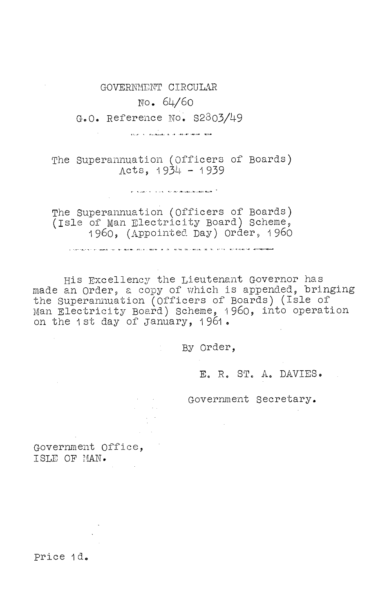GOVERNMENT CIRCULAR No. 64/6o G.O. Reference NO, S2803/49

li<br>Indian Inc., publication do the obstant sector (1839)

The Superannuation (Officers of Boards)  $Acts, 1934 - 1939$ 

 $\mathbf{r}$  , where  $\mathbf{r}$  ,  $\mathbf{r}$  ,  $\mathbf{r}$  ,  $\mathbf{r}$  , are detained in the  $\mathbf{r}$  ,  $\mathbf{r}$ 

The Superannuation (Officers of Boards) (Isle of Man Electricity Board) Scheme, 1960, (Appointed Day) Order, 1960

.<br>I Stringer to the Sound the the Bushing State of Books and All Anthal Statements the the Line of the State of MovementState

His Excellency the Lieutenant Governor has made an Order, a copy of which is appended, bringing the Superannuation (Officers of Boards) (Isle of man Electricity Board) Scheme, 1960, into operation on the 1st day of January, 1961.

By Order,

E. R. ST. A. DAVIES.

Government Secretary.

Government Office, ISLE CF HAN.

price 1d.